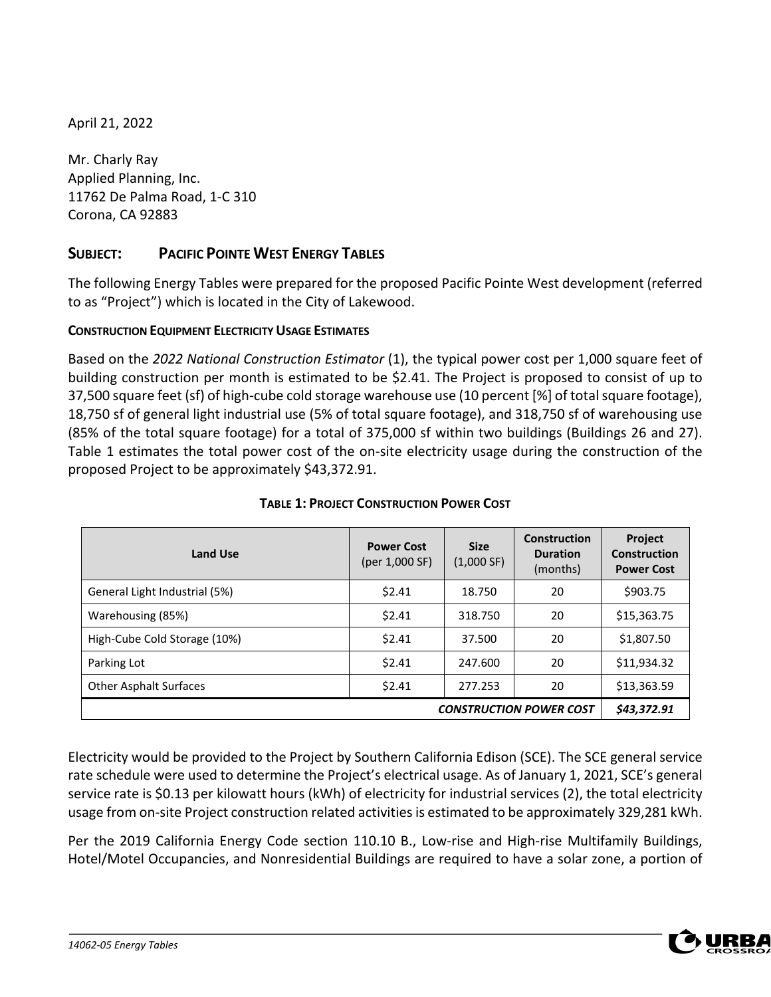April 21, 2022

Mr. Charly Ray Applied Planning, Inc. 11762 De Palma Road, 1-C 310 Corona, CA 92883

# **SUBJECT: PACIFIC POINTE WEST ENERGY TABLES**

The following Energy Tables were prepared for the proposed Pacific Pointe West development (referred to as "Project") which is located in the City of Lakewood.

## **CONSTRUCTION EQUIPMENT ELECTRICITY USAGE ESTIMATES**

Based on the *2022 National Construction Estimator* (1), the typical power cost per 1,000 square feet of building construction per month is estimated to be \$2.41. The Project is proposed to consist of up to 37,500 square feet (sf) of high-cube cold storage warehouse use (10 percent [%] of total square footage), 18,750 sf of general light industrial use (5% of total square footage), and 318,750 sf of warehousing use (85% of the total square footage) for a total of 375,000 sf within two buildings (Buildings 26 and 27). Table 1 estimates the total power cost of the on-site electricity usage during the construction of the proposed Project to be approximately \$43,372.91.

| <b>Land Use</b>                | <b>Power Cost</b><br>(per 1,000 SF) | <b>Size</b><br>(1,000 SF) | Construction<br><b>Duration</b><br>(months) | <b>Project</b><br>Construction<br><b>Power Cost</b> |  |
|--------------------------------|-------------------------------------|---------------------------|---------------------------------------------|-----------------------------------------------------|--|
| General Light Industrial (5%)  | \$2.41                              | 18.750                    | 20                                          | \$903.75                                            |  |
| Warehousing (85%)              | \$2.41                              | 318.750                   | 20                                          | \$15,363.75                                         |  |
| High-Cube Cold Storage (10%)   | \$2.41                              | 37.500                    | 20                                          | \$1,807.50                                          |  |
| Parking Lot                    | \$2.41                              | 247.600                   | 20                                          | \$11,934.32                                         |  |
| <b>Other Asphalt Surfaces</b>  | \$2.41                              | 277.253                   | 20                                          | \$13,363.59                                         |  |
| <b>CONSTRUCTION POWER COST</b> |                                     |                           |                                             |                                                     |  |

## **TABLE 1: PROJECT CONSTRUCTION POWER COST**

Electricity would be provided to the Project by Southern California Edison (SCE). The SCE general service rate schedule were used to determine the Project's electrical usage. As of January 1, 2021, SCE's general service rate is \$0.13 per kilowatt hours (kWh) of electricity for industrial services (2), the total electricity usage from on-site Project construction related activities is estimated to be approximately 329,281 kWh.

Per the 2019 California Energy Code section 110.10 B., Low-rise and High-rise Multifamily Buildings, Hotel/Motel Occupancies, and Nonresidential Buildings are required to have a solar zone, a portion of

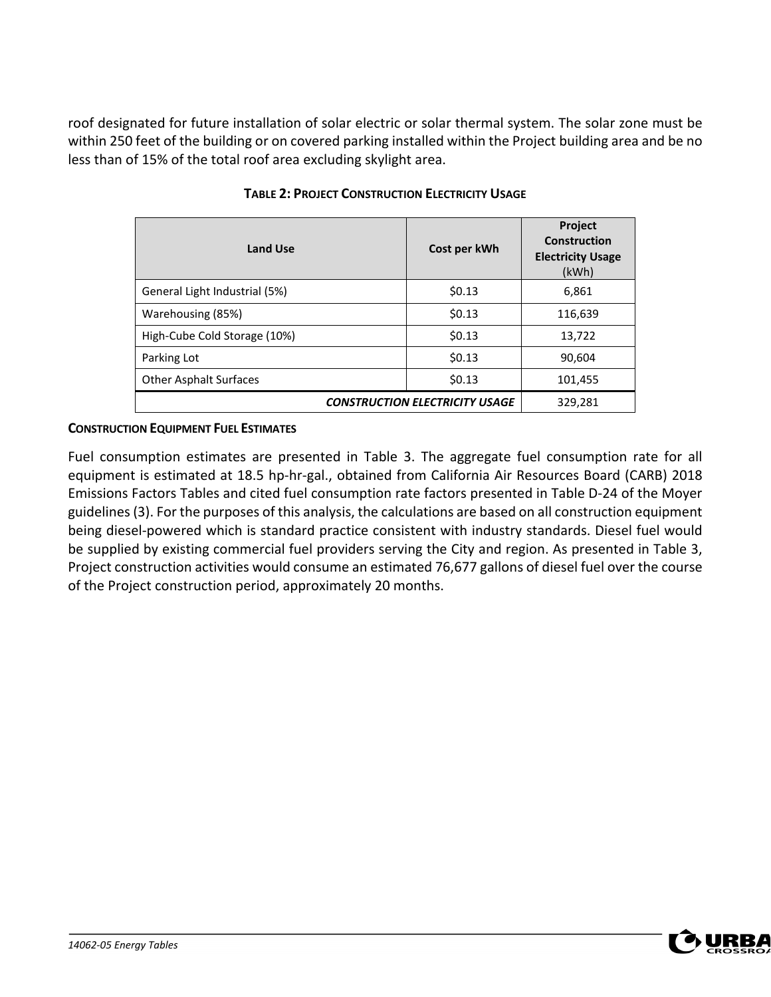roof designated for future installation of solar electric or solar thermal system. The solar zone must be within 250 feet of the building or on covered parking installed within the Project building area and be no less than of 15% of the total roof area excluding skylight area.

| <b>Land Use</b>                       | Cost per kWh | Project<br><b>Construction</b><br><b>Electricity Usage</b><br>(kWh) |
|---------------------------------------|--------------|---------------------------------------------------------------------|
| General Light Industrial (5%)         | \$0.13       | 6,861                                                               |
| Warehousing (85%)                     | \$0.13       | 116,639                                                             |
| High-Cube Cold Storage (10%)          | \$0.13       | 13,722                                                              |
| Parking Lot                           | \$0.13       | 90,604                                                              |
| <b>Other Asphalt Surfaces</b>         | \$0.13       | 101,455                                                             |
| <b>CONSTRUCTION ELECTRICITY USAGE</b> | 329,281      |                                                                     |

### **TABLE 2: PROJECT CONSTRUCTION ELECTRICITY USAGE**

## **CONSTRUCTION EQUIPMENT FUEL ESTIMATES**

Fuel consumption estimates are presented in Table 3. The aggregate fuel consumption rate for all equipment is estimated at 18.5 hp-hr-gal., obtained from California Air Resources Board (CARB) 2018 Emissions Factors Tables and cited fuel consumption rate factors presented in Table D-24 of the Moyer guidelines(3). For the purposes of this analysis, the calculations are based on all construction equipment being diesel-powered which is standard practice consistent with industry standards. Diesel fuel would be supplied by existing commercial fuel providers serving the City and region. As presented in Table 3, Project construction activities would consume an estimated 76,677 gallons of diesel fuel over the course of the Project construction period, approximately 20 months.

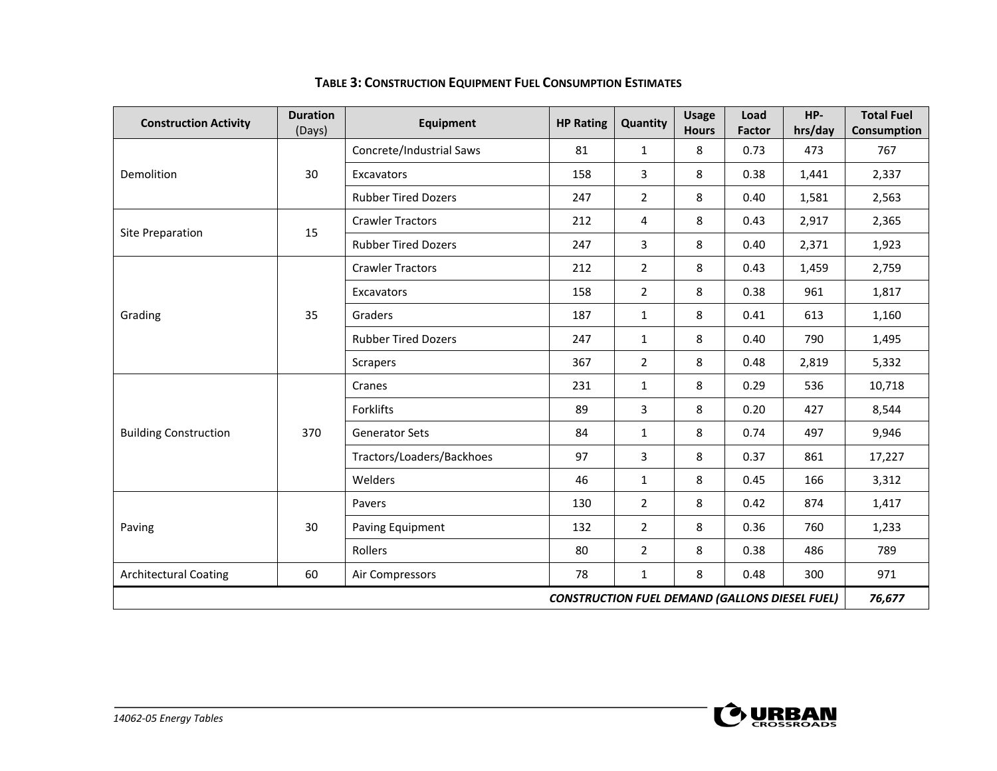| <b>Construction Activity</b>                                                  | <b>Duration</b><br>(Days) | <b>Equipment</b>           | <b>HP Rating</b> | Quantity       | <b>Usage</b><br><b>Hours</b> | Load<br><b>Factor</b> | HP-<br>hrs/day | <b>Total Fuel</b><br>Consumption |
|-------------------------------------------------------------------------------|---------------------------|----------------------------|------------------|----------------|------------------------------|-----------------------|----------------|----------------------------------|
|                                                                               |                           | Concrete/Industrial Saws   | 81               | $\mathbf{1}$   | 8                            | 0.73                  | 473            | 767                              |
| Demolition                                                                    | 30                        | <b>Excavators</b>          | 158              | 3              | 8                            | 0.38                  | 1,441          | 2,337                            |
|                                                                               |                           | <b>Rubber Tired Dozers</b> | 247              | $\overline{2}$ | 8                            | 0.40                  | 1,581          | 2,563                            |
| Site Preparation                                                              | 15                        | <b>Crawler Tractors</b>    | 212              | 4              | 8                            | 0.43                  | 2,917          | 2,365                            |
|                                                                               |                           | <b>Rubber Tired Dozers</b> | 247              | 3              | 8                            | 0.40                  | 2,371          | 1,923                            |
|                                                                               |                           | <b>Crawler Tractors</b>    | 212              | $\overline{2}$ | 8                            | 0.43                  | 1,459          | 2,759                            |
|                                                                               |                           | Excavators                 | 158              | $\overline{2}$ | 8                            | 0.38                  | 961            | 1,817                            |
| Grading                                                                       | 35                        | Graders                    | 187              | $\mathbf{1}$   | 8                            | 0.41                  | 613            | 1,160                            |
|                                                                               |                           | <b>Rubber Tired Dozers</b> | 247              | $\mathbf{1}$   | 8                            | 0.40                  | 790            | 1,495                            |
|                                                                               |                           | <b>Scrapers</b>            | 367              | $\overline{2}$ | 8                            | 0.48                  | 2,819          | 5,332                            |
|                                                                               | 370                       | Cranes                     | 231              | $\mathbf{1}$   | 8                            | 0.29                  | 536            | 10,718                           |
|                                                                               |                           | Forklifts                  | 89               | 3              | 8                            | 0.20                  | 427            | 8,544                            |
| <b>Building Construction</b>                                                  |                           | <b>Generator Sets</b>      | 84               | $\mathbf{1}$   | 8                            | 0.74                  | 497            | 9,946                            |
|                                                                               |                           | Tractors/Loaders/Backhoes  | 97               | 3              | 8                            | 0.37                  | 861            | 17,227                           |
|                                                                               |                           | Welders                    | 46               | $\mathbf{1}$   | 8                            | 0.45                  | 166            | 3,312                            |
|                                                                               |                           | Pavers                     | 130              | $\overline{2}$ | 8                            | 0.42                  | 874            | 1,417                            |
| Paving                                                                        | 30                        | Paving Equipment           | 132              | $\overline{2}$ | 8                            | 0.36                  | 760            | 1,233                            |
|                                                                               |                           | Rollers                    | 80               | $\overline{2}$ | 8                            | 0.38                  | 486            | 789                              |
| <b>Architectural Coating</b><br>60<br>78<br>8<br>0.48<br>Air Compressors<br>1 |                           |                            |                  |                |                              | 300                   | 971            |                                  |
| <b>CONSTRUCTION FUEL DEMAND (GALLONS DIESEL FUEL)</b><br>76,677               |                           |                            |                  |                |                              |                       |                |                                  |

# **TABLE 3: CONSTRUCTION EQUIPMENT FUEL CONSUMPTION ESTIMATES**

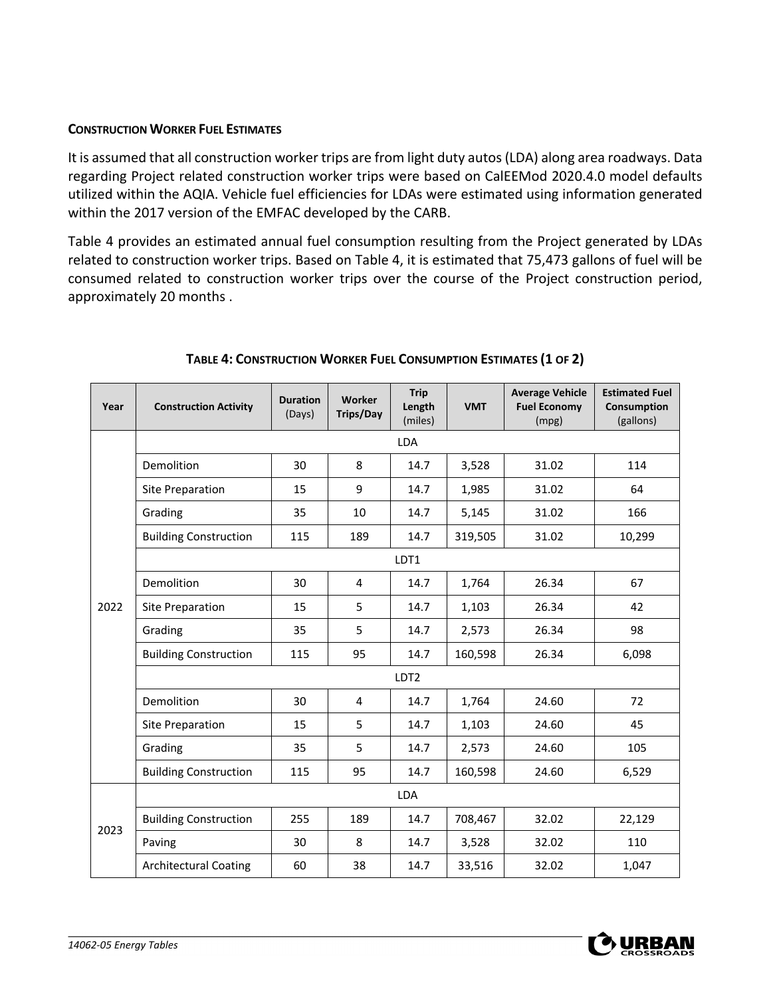#### **CONSTRUCTION WORKER FUEL ESTIMATES**

It is assumed that all construction worker trips are from light duty autos (LDA) along area roadways. Data regarding Project related construction worker trips were based on CalEEMod 2020.4.0 model defaults utilized within the AQIA. Vehicle fuel efficiencies for LDAs were estimated using information generated within the 2017 version of the EMFAC developed by the CARB.

Table 4 provides an estimated annual fuel consumption resulting from the Project generated by LDAs related to construction worker trips. Based on Table 4, it is estimated that 75,473 gallons of fuel will be consumed related to construction worker trips over the course of the Project construction period, approximately 20 months .

| Year | <b>Construction Activity</b> | <b>Duration</b><br>(Days) | Worker<br><b>Trips/Day</b> | <b>Trip</b><br>Length<br>(miles) | <b>VMT</b> | <b>Average Vehicle</b><br><b>Fuel Economy</b><br>(mpg) | <b>Estimated Fuel</b><br>Consumption<br>(gallons) |  |  |
|------|------------------------------|---------------------------|----------------------------|----------------------------------|------------|--------------------------------------------------------|---------------------------------------------------|--|--|
|      |                              |                           |                            | <b>LDA</b>                       |            |                                                        |                                                   |  |  |
|      | Demolition                   | 30                        | 8                          | 14.7                             | 3,528      | 31.02                                                  | 114                                               |  |  |
|      | <b>Site Preparation</b>      | 15                        | 9                          | 14.7                             | 1,985      | 31.02                                                  | 64                                                |  |  |
|      | Grading                      | 35                        | 10                         | 14.7                             | 5,145      | 31.02                                                  | 166                                               |  |  |
|      | <b>Building Construction</b> | 115                       | 189                        | 14.7                             | 319,505    | 31.02                                                  | 10,299                                            |  |  |
|      | LDT1                         |                           |                            |                                  |            |                                                        |                                                   |  |  |
|      | Demolition                   | 30                        | 4                          | 14.7                             | 1,764      | 26.34                                                  | 67                                                |  |  |
| 2022 | Site Preparation             | 15                        | 5                          | 14.7                             | 1,103      | 26.34                                                  | 42                                                |  |  |
|      | Grading                      | 35                        | 5                          | 14.7                             | 2,573      | 26.34                                                  | 98                                                |  |  |
|      | <b>Building Construction</b> | 115                       | 95                         | 14.7                             | 160,598    | 26.34                                                  | 6,098                                             |  |  |
|      | LDT <sub>2</sub>             |                           |                            |                                  |            |                                                        |                                                   |  |  |
|      | Demolition                   | 30                        | $\overline{4}$             | 14.7                             | 1,764      | 24.60                                                  | 72                                                |  |  |
|      | <b>Site Preparation</b>      | 15                        | 5                          | 14.7                             | 1,103      | 24.60                                                  | 45                                                |  |  |
|      | Grading                      | 35                        | 5                          | 14.7                             | 2,573      | 24.60                                                  | 105                                               |  |  |
|      | <b>Building Construction</b> | 115                       | 95                         | 14.7                             | 160,598    | 24.60                                                  | 6,529                                             |  |  |
|      |                              |                           |                            | LDA                              |            |                                                        |                                                   |  |  |
| 2023 | <b>Building Construction</b> | 255                       | 189                        | 14.7                             | 708,467    | 32.02                                                  | 22,129                                            |  |  |
|      | Paving                       | 30                        | 8                          | 14.7                             | 3,528      | 32.02                                                  | 110                                               |  |  |
|      | <b>Architectural Coating</b> | 60                        | 38                         | 14.7                             | 33,516     | 32.02                                                  | 1,047                                             |  |  |

## **TABLE 4: CONSTRUCTION WORKER FUEL CONSUMPTION ESTIMATES (1 OF 2)**

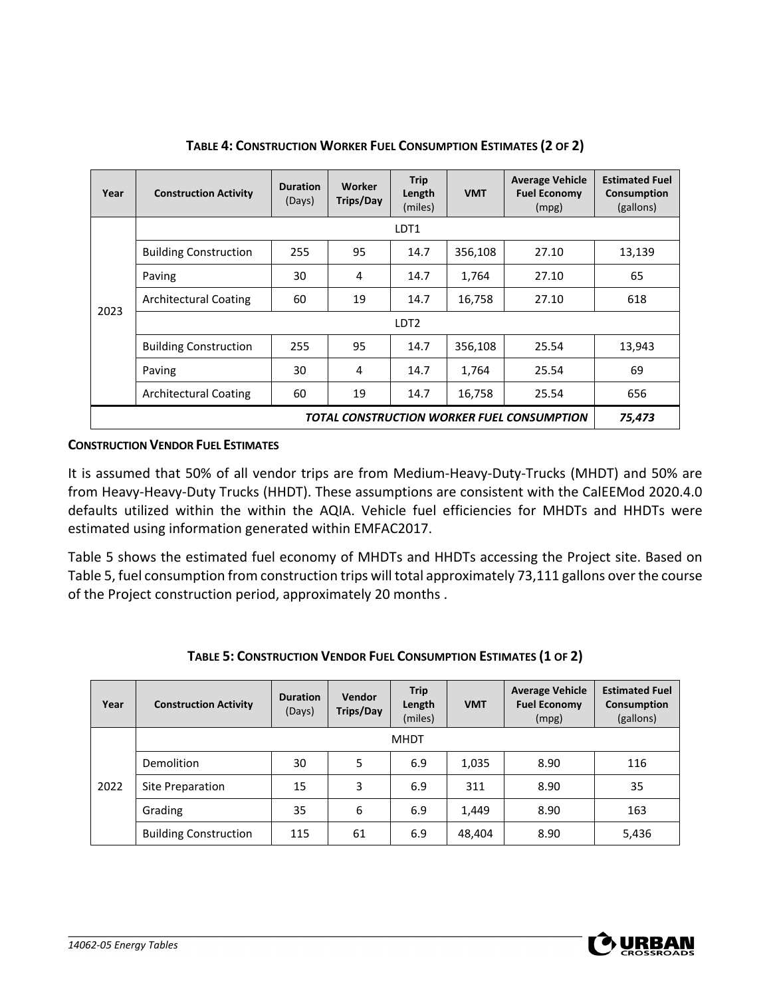| Year                                       | <b>Construction Activity</b> | <b>Duration</b><br>(Days) | Worker<br>Trips/Day | <b>Trip</b><br>Length<br>(miles) | <b>VMT</b> | <b>Average Vehicle</b><br><b>Fuel Economy</b><br>(mpg) | <b>Estimated Fuel</b><br>Consumption<br>(gallons) |  |  |
|--------------------------------------------|------------------------------|---------------------------|---------------------|----------------------------------|------------|--------------------------------------------------------|---------------------------------------------------|--|--|
|                                            |                              |                           |                     | LDT1                             |            |                                                        |                                                   |  |  |
|                                            | <b>Building Construction</b> | 255                       | 95                  | 14.7                             | 356,108    | 27.10                                                  | 13,139                                            |  |  |
|                                            | Paving                       | 30                        | 4                   | 14.7                             | 1,764      | 27.10                                                  | 65                                                |  |  |
|                                            | <b>Architectural Coating</b> | 60                        | 19                  | 14.7                             | 16,758     | 27.10                                                  | 618                                               |  |  |
| 2023                                       | LDT <sub>2</sub>             |                           |                     |                                  |            |                                                        |                                                   |  |  |
|                                            | <b>Building Construction</b> | 255                       | 95                  | 14.7                             | 356,108    | 25.54                                                  | 13,943                                            |  |  |
|                                            | Paving                       | 30                        | 4                   | 14.7                             | 1,764      | 25.54                                                  | 69                                                |  |  |
|                                            | <b>Architectural Coating</b> | 60                        | 19                  | 14.7                             | 16,758     | 25.54                                                  | 656                                               |  |  |
| TOTAL CONSTRUCTION WORKER FUEL CONSUMPTION |                              |                           |                     |                                  |            |                                                        | 75,473                                            |  |  |

**TABLE 4: CONSTRUCTION WORKER FUEL CONSUMPTION ESTIMATES (2 OF 2)**

#### **CONSTRUCTION VENDOR FUEL ESTIMATES**

It is assumed that 50% of all vendor trips are from Medium-Heavy-Duty-Trucks (MHDT) and 50% are from Heavy-Heavy-Duty Trucks (HHDT). These assumptions are consistent with the CalEEMod 2020.4.0 defaults utilized within the within the AQIA. Vehicle fuel efficiencies for MHDTs and HHDTs were estimated using information generated within EMFAC2017.

Table 5 shows the estimated fuel economy of MHDTs and HHDTs accessing the Project site. Based on Table 5, fuel consumption from construction trips will total approximately 73,111 gallons over the course of the Project construction period, approximately 20 months .

| Year | <b>Construction Activity</b> | <b>Duration</b><br>(Days) | <b>Vendor</b><br>Trips/Day | <b>Trip</b><br>Length<br>(miles) | <b>VMT</b> | <b>Average Vehicle</b><br><b>Fuel Economy</b><br>(mpg) | <b>Estimated Fuel</b><br>Consumption<br>(gallons) |
|------|------------------------------|---------------------------|----------------------------|----------------------------------|------------|--------------------------------------------------------|---------------------------------------------------|
|      |                              |                           |                            | <b>MHDT</b>                      |            |                                                        |                                                   |
| 2022 | Demolition                   | 30                        | 5                          | 6.9                              | 1,035      | 8.90                                                   | 116                                               |
|      | Site Preparation             | 15                        | 3                          | 6.9                              | 311        | 8.90                                                   | 35                                                |
|      | Grading                      | 35                        | 6                          | 6.9                              | 1,449      | 8.90                                                   | 163                                               |
|      | <b>Building Construction</b> | 115                       | 61                         | 6.9                              | 48,404     | 8.90                                                   | 5,436                                             |

#### **TABLE 5: CONSTRUCTION VENDOR FUEL CONSUMPTION ESTIMATES (1 OF 2)**

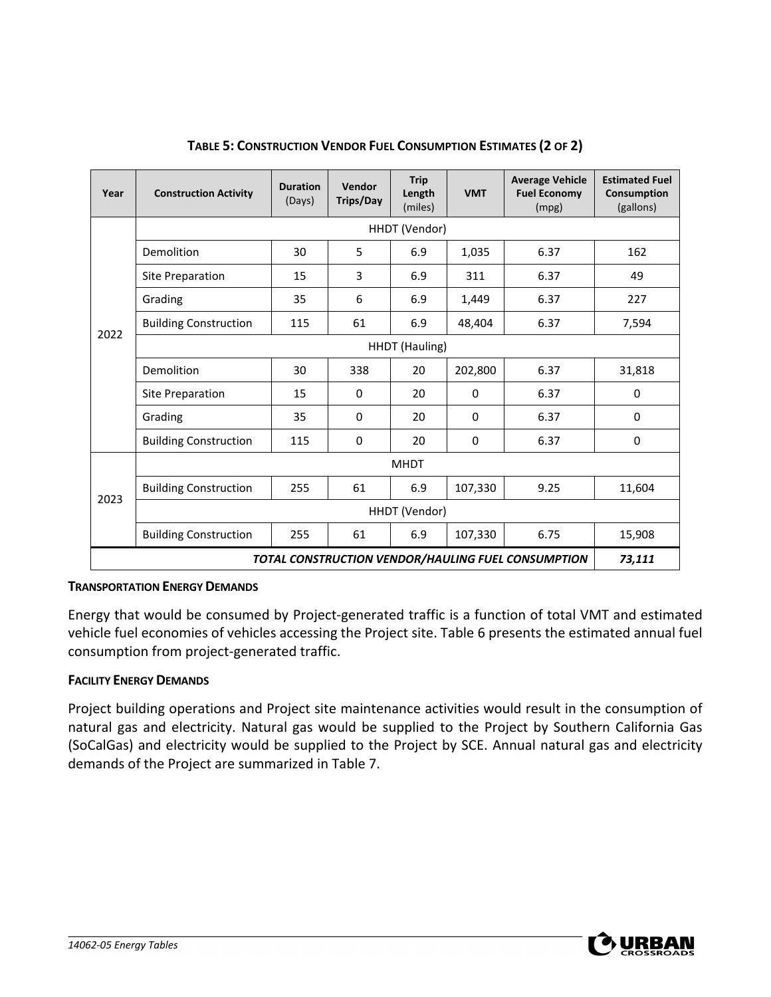| Year                                               | <b>Construction Activity</b> | <b>Duration</b><br>(Days) | Vendor<br><b>Trips/Day</b> | <b>Trip</b><br>Length<br>(miles) | <b>VMT</b>  | <b>Average Vehicle</b><br><b>Fuel Economy</b><br>(mpg) | <b>Estimated Fuel</b><br>Consumption<br>(gallons) |  |  |
|----------------------------------------------------|------------------------------|---------------------------|----------------------------|----------------------------------|-------------|--------------------------------------------------------|---------------------------------------------------|--|--|
|                                                    | HHDT (Vendor)                |                           |                            |                                  |             |                                                        |                                                   |  |  |
|                                                    | Demolition                   | 30                        | 5                          | 6.9                              | 1,035       | 6.37                                                   | 162                                               |  |  |
|                                                    | Site Preparation             | 15                        | 3                          | 6.9                              | 311         | 6.37                                                   | 49                                                |  |  |
|                                                    | Grading                      | 35                        | 6                          | 6.9                              | 1,449       | 6.37                                                   | 227                                               |  |  |
|                                                    | <b>Building Construction</b> | 115                       | 61                         | 6.9                              | 48,404      | 6.37                                                   | 7,594                                             |  |  |
| 2022                                               | HHDT (Hauling)               |                           |                            |                                  |             |                                                        |                                                   |  |  |
|                                                    | Demolition                   | 30                        | 338                        | 20                               | 202,800     | 6.37                                                   | 31,818                                            |  |  |
|                                                    | Site Preparation             | 15                        | 0                          | 20                               | 0           | 6.37                                                   | 0                                                 |  |  |
|                                                    | Grading                      | 35                        | $\Omega$                   | 20                               | $\mathbf 0$ | 6.37                                                   | 0                                                 |  |  |
|                                                    | <b>Building Construction</b> | 115                       | 0                          | 20                               | $\Omega$    | 6.37                                                   | 0                                                 |  |  |
|                                                    |                              |                           |                            | <b>MHDT</b>                      |             |                                                        |                                                   |  |  |
| 2023                                               | <b>Building Construction</b> | 255                       | 61                         | 6.9                              | 107,330     | 9.25                                                   | 11,604                                            |  |  |
|                                                    |                              |                           |                            | HHDT (Vendor)                    |             |                                                        |                                                   |  |  |
|                                                    | <b>Building Construction</b> | 255                       | 61                         | 6.9                              | 107,330     | 6.75                                                   | 15,908                                            |  |  |
| TOTAL CONSTRUCTION VENDOR/HAULING FUEL CONSUMPTION |                              |                           |                            |                                  |             |                                                        |                                                   |  |  |

### **TABLE 5: CONSTRUCTION VENDOR FUEL CONSUMPTION ESTIMATES (2 OF 2)**

#### **TRANSPORTATION ENERGY DEMANDS**

Energy that would be consumed by Project-generated traffic is a function of total VMT and estimated vehicle fuel economies of vehicles accessing the Project site. Table 6 presents the estimated annual fuel consumption from project-generated traffic.

#### **FACILITY ENERGY DEMANDS**

Project building operations and Project site maintenance activities would result in the consumption of natural gas and electricity. Natural gas would be supplied to the Project by Southern California Gas (SoCalGas) and electricity would be supplied to the Project by SCE. Annual natural gas and electricity demands of the Project are summarized in Table 7.

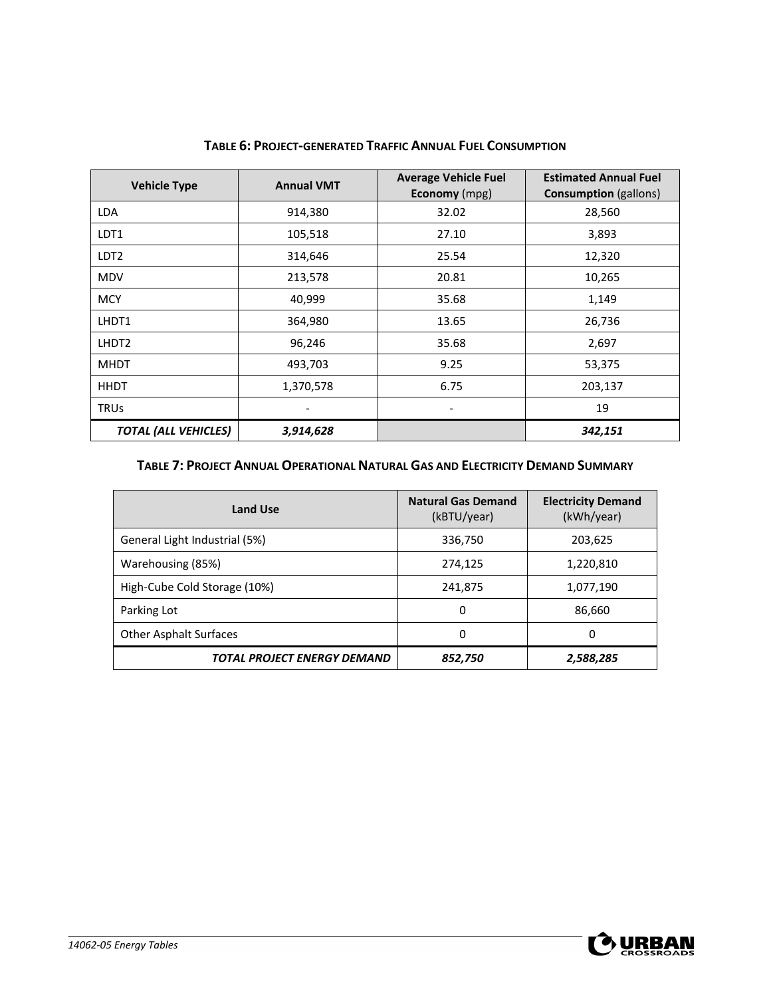| <b>Vehicle Type</b>         | <b>Annual VMT</b> | <b>Average Vehicle Fuel</b><br><b>Economy</b> (mpg) | <b>Estimated Annual Fuel</b><br><b>Consumption</b> (gallons) |
|-----------------------------|-------------------|-----------------------------------------------------|--------------------------------------------------------------|
| <b>LDA</b>                  | 914,380           | 32.02                                               | 28,560                                                       |
| LDT1                        | 105,518           | 27.10                                               | 3,893                                                        |
| LDT <sub>2</sub>            | 314,646           | 25.54                                               | 12,320                                                       |
| <b>MDV</b>                  | 213,578           | 20.81                                               | 10,265                                                       |
| <b>MCY</b>                  | 40,999            | 35.68                                               | 1,149                                                        |
| LHDT1                       | 364,980           | 13.65                                               | 26,736                                                       |
| LHDT <sub>2</sub>           | 96,246            | 35.68                                               | 2,697                                                        |
| <b>MHDT</b>                 | 493,703           | 9.25                                                | 53,375                                                       |
| <b>HHDT</b>                 | 1,370,578         | 6.75                                                | 203,137                                                      |
| <b>TRUS</b>                 |                   | $\overline{\phantom{a}}$                            | 19                                                           |
| <b>TOTAL (ALL VEHICLES)</b> | 3,914,628         |                                                     | 342,151                                                      |

#### **TABLE 6: PROJECT-GENERATED TRAFFIC ANNUAL FUEL CONSUMPTION**

### **TABLE 7: PROJECT ANNUAL OPERATIONAL NATURAL GAS AND ELECTRICITY DEMAND SUMMARY**

| <b>Land Use</b>               | <b>Natural Gas Demand</b><br>(kBTU/year) | <b>Electricity Demand</b><br>(kWh/year) |
|-------------------------------|------------------------------------------|-----------------------------------------|
| General Light Industrial (5%) | 336,750                                  | 203,625                                 |
| Warehousing (85%)             | 274,125                                  | 1,220,810                               |
| High-Cube Cold Storage (10%)  | 241,875                                  | 1,077,190                               |
| Parking Lot                   | 0                                        | 86,660                                  |
| <b>Other Asphalt Surfaces</b> | 0                                        | 0                                       |
| TOTAL PROJECT ENERGY DEMAND   | 852,750                                  | 2,588,285                               |